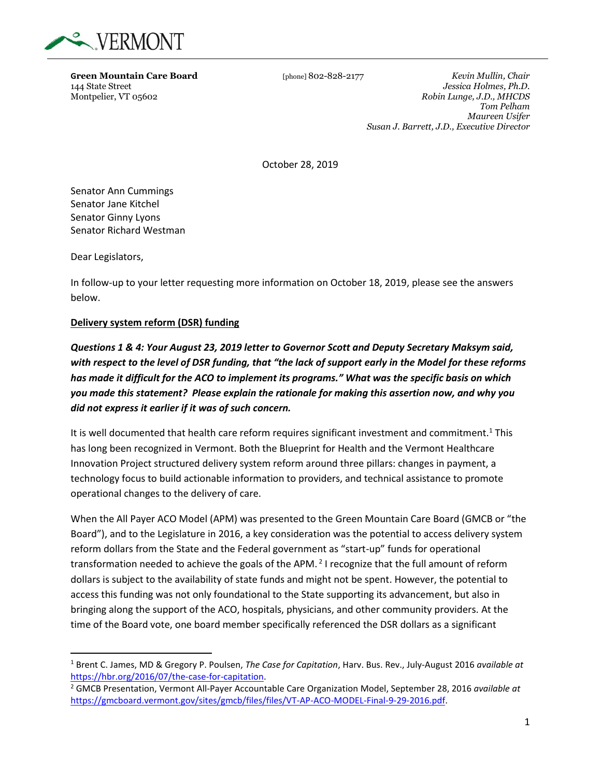

**Green Mountain Care Board** [phone] 802-828-2177 *Kevin Mullin, Chair* 144 State Street *Jessica Holmes, Ph.D.* 144 State Street *Jessica Holmes, Ph.D.*  $Robin Lunge, J.D., MHCDS$ *Tom Pelham Maureen Usifer Susan J. Barrett, J.D., Executive Director*

October 28, 2019

Senator Ann Cummings Senator Jane Kitchel Senator Ginny Lyons Senator Richard Westman

Dear Legislators,

In follow-up to your letter requesting more information on October 18, 2019, please see the answers below.

#### **Delivery system reform (DSR) funding**

*Questions 1 & 4: Your August 23, 2019 letter to Governor Scott and Deputy Secretary Maksym said, with respect to the level of DSR funding, that "the lack of support early in the Model for these reforms has made it difficult for the ACO to implement its programs." What was the specific basis on which you made this statement? Please explain the rationale for making this assertion now, and why you did not express it earlier if it was of such concern.*

It is well documented that health care reform requires significant investment and commitment.<sup>1</sup> This has long been recognized in Vermont. Both the Blueprint for Health and the Vermont Healthcare Innovation Project structured delivery system reform around three pillars: changes in payment, a technology focus to build actionable information to providers, and technical assistance to promote operational changes to the delivery of care.

When the All Payer ACO Model (APM) was presented to the Green Mountain Care Board (GMCB or "the Board"), and to the Legislature in 2016, a key consideration was the potential to access delivery system reform dollars from the State and the Federal government as "start-up" funds for operational transformation needed to achieve the goals of the APM.<sup>2</sup> I recognize that the full amount of reform dollars is subject to the availability of state funds and might not be spent. However, the potential to access this funding was not only foundational to the State supporting its advancement, but also in bringing along the support of the ACO, hospitals, physicians, and other community providers. At the time of the Board vote, one board member specifically referenced the DSR dollars as a significant

<sup>1</sup> Brent C. James, MD & Gregory P. Poulsen, *The Case for Capitation*, Harv. Bus. Rev., July-August 2016 *available at* [https://hbr.org/2016/07/the-case-for-capitation.](https://hbr.org/2016/07/the-case-for-capitation)

<sup>2</sup> GMCB Presentation, Vermont All-Payer Accountable Care Organization Model, September 28, 2016 *available at* [https://gmcboard.vermont.gov/sites/gmcb/files/files/VT-AP-ACO-MODEL-Final-9-29-2016.pdf.](https://gmcboard.vermont.gov/sites/gmcb/files/files/VT-AP-ACO-MODEL-Final-9-29-2016.pdf)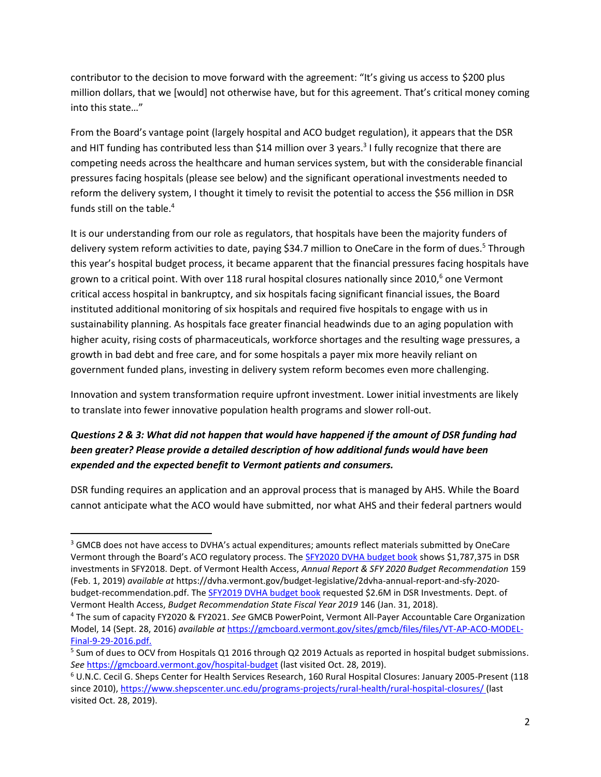contributor to the decision to move forward with the agreement: "It's giving us access to \$200 plus million dollars, that we [would] not otherwise have, but for this agreement. That's critical money coming into this state…"

From the Board's vantage point (largely hospital and ACO budget regulation), it appears that the DSR and HIT funding has contributed less than \$14 million over 3 years.<sup>3</sup> I fully recognize that there are competing needs across the healthcare and human services system, but with the considerable financial pressures facing hospitals (please see below) and the significant operational investments needed to reform the delivery system, I thought it timely to revisit the potential to access the \$56 million in DSR funds still on the table.<sup>4</sup>

It is our understanding from our role as regulators, that hospitals have been the majority funders of delivery system reform activities to date, paying \$34.7 million to OneCare in the form of dues.<sup>5</sup> Through this year's hospital budget process, it became apparent that the financial pressures facing hospitals have grown to a critical point. With over 118 rural hospital closures nationally since  $2010<sup>6</sup>$  one Vermont critical access hospital in bankruptcy, and six hospitals facing significant financial issues, the Board instituted additional monitoring of six hospitals and required five hospitals to engage with us in sustainability planning. As hospitals face greater financial headwinds due to an aging population with higher acuity, rising costs of pharmaceuticals, workforce shortages and the resulting wage pressures, a growth in bad debt and free care, and for some hospitals a payer mix more heavily reliant on government funded plans, investing in delivery system reform becomes even more challenging.

Innovation and system transformation require upfront investment. Lower initial investments are likely to translate into fewer innovative population health programs and slower roll-out.

# *Questions 2 & 3: What did not happen that would have happened if the amount of DSR funding had been greater? Please provide a detailed description of how additional funds would have been expended and the expected benefit to Vermont patients and consumers.*

DSR funding requires an application and an approval process that is managed by AHS. While the Board cannot anticipate what the ACO would have submitted, nor what AHS and their federal partners would

<sup>&</sup>lt;sup>3</sup> GMCB does not have access to DVHA's actual expenditures; amounts reflect materials submitted by OneCare Vermont through the Board's ACO regulatory process. The [SFY2020 DVHA budget book](https://dvha.vermont.gov/budget-legislative/2dvha-annual-report-and-sfy-2020-budget-recommendation.pdf) shows \$1,787,375 in DSR investments in SFY2018. Dept. of Vermont Health Access, *Annual Report & SFY 2020 Budget Recommendation* 159 (Feb. 1, 2019) *available at* https://dvha.vermont.gov/budget-legislative/2dvha-annual-report-and-sfy-2020 budget-recommendation.pdf. Th[e SFY2019 DVHA budget book](https://dvha.vermont.gov/budget-legislative/1sfy-2019-budget-book-final.pdf) requested \$2.6M in DSR Investments. Dept. of Vermont Health Access, *Budget Recommendation State Fiscal Year 2019* 146 (Jan. 31, 2018).

<sup>4</sup> The sum of capacity FY2020 & FY2021. *See* GMCB PowerPoint, Vermont All-Payer Accountable Care Organization Model, 14 (Sept. 28, 2016) *available at* [https://gmcboard.vermont.gov/sites/gmcb/files/files/VT-AP-ACO-MODEL-](https://gmcboard.vermont.gov/sites/gmcb/files/files/VT-AP-ACO-MODEL-Final-9-29-2016.pdf)[Final-9-29-2016.pdf.](https://gmcboard.vermont.gov/sites/gmcb/files/files/VT-AP-ACO-MODEL-Final-9-29-2016.pdf)

<sup>&</sup>lt;sup>5</sup> Sum of dues to OCV from Hospitals Q1 2016 through Q2 2019 Actuals as reported in hospital budget submissions. *See* <https://gmcboard.vermont.gov/hospital-budget> (last visited Oct. 28, 2019).

<sup>6</sup> U.N.C. Cecil G. Sheps Center for Health Services Research, 160 Rural Hospital Closures: January 2005-Present (118 since 2010),<https://www.shepscenter.unc.edu/programs-projects/rural-health/rural-hospital-closures/> (last visited Oct. 28, 2019).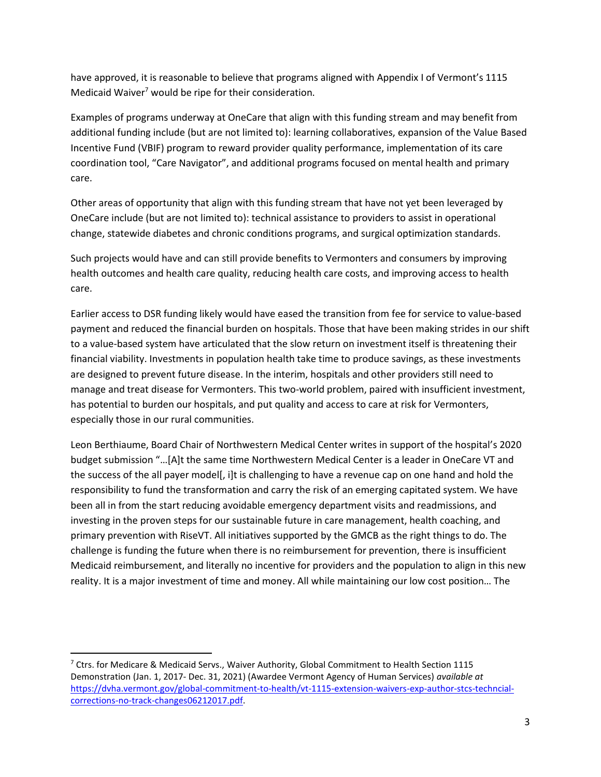have approved, it is reasonable to believe that programs aligned with Appendix I of Vermont's 1115 Medicaid Waiver<sup>7</sup> would be ripe for their consideration.

Examples of programs underway at OneCare that align with this funding stream and may benefit from additional funding include (but are not limited to): learning collaboratives, expansion of the Value Based Incentive Fund (VBIF) program to reward provider quality performance, implementation of its care coordination tool, "Care Navigator", and additional programs focused on mental health and primary care.

Other areas of opportunity that align with this funding stream that have not yet been leveraged by OneCare include (but are not limited to): technical assistance to providers to assist in operational change, statewide diabetes and chronic conditions programs, and surgical optimization standards.

Such projects would have and can still provide benefits to Vermonters and consumers by improving health outcomes and health care quality, reducing health care costs, and improving access to health care.

Earlier access to DSR funding likely would have eased the transition from fee for service to value-based payment and reduced the financial burden on hospitals. Those that have been making strides in our shift to a value-based system have articulated that the slow return on investment itself is threatening their financial viability. Investments in population health take time to produce savings, as these investments are designed to prevent future disease. In the interim, hospitals and other providers still need to manage and treat disease for Vermonters. This two-world problem, paired with insufficient investment, has potential to burden our hospitals, and put quality and access to care at risk for Vermonters, especially those in our rural communities.

Leon Berthiaume, Board Chair of Northwestern Medical Center writes in support of the hospital's 2020 budget submission "…[A]t the same time Northwestern Medical Center is a leader in OneCare VT and the success of the all payer model[, i]t is challenging to have a revenue cap on one hand and hold the responsibility to fund the transformation and carry the risk of an emerging capitated system. We have been all in from the start reducing avoidable emergency department visits and readmissions, and investing in the proven steps for our sustainable future in care management, health coaching, and primary prevention with RiseVT. All initiatives supported by the GMCB as the right things to do. The challenge is funding the future when there is no reimbursement for prevention, there is insufficient Medicaid reimbursement, and literally no incentive for providers and the population to align in this new reality. It is a major investment of time and money. All while maintaining our low cost position… The

 $7$  Ctrs. for Medicare & Medicaid Servs., Waiver Authority, Global Commitment to Health Section 1115 Demonstration (Jan. 1, 2017- Dec. 31, 2021) (Awardee Vermont Agency of Human Services) *available at* [https://dvha.vermont.gov/global-commitment-to-health/vt-1115-extension-waivers-exp-author-stcs-techncial](https://dvha.vermont.gov/global-commitment-to-health/vt-1115-extension-waivers-exp-author-stcs-techncial-corrections-no-track-changes06212017.pdf)[corrections-no-track-changes06212017.pdf.](https://dvha.vermont.gov/global-commitment-to-health/vt-1115-extension-waivers-exp-author-stcs-techncial-corrections-no-track-changes06212017.pdf)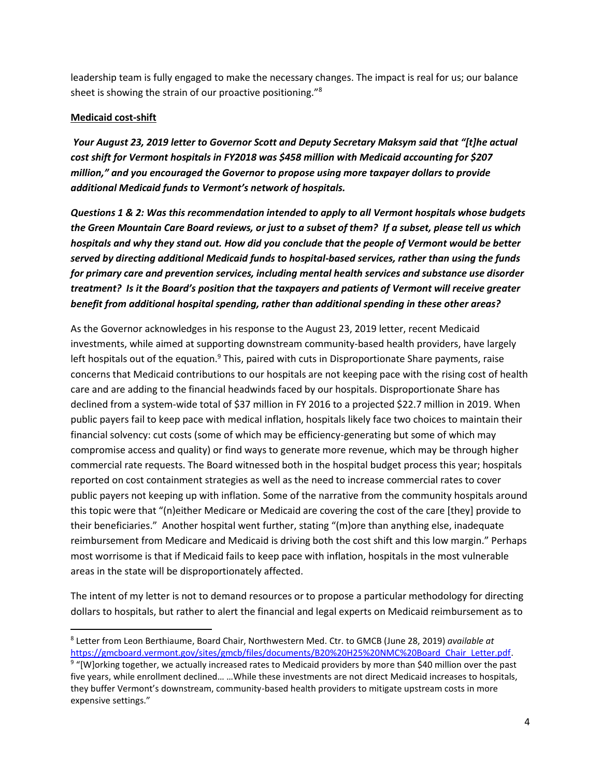leadership team is fully engaged to make the necessary changes. The impact is real for us; our balance sheet is showing the strain of our proactive positioning."<sup>8</sup>

#### **Medicaid cost-shift**

*Your August 23, 2019 letter to Governor Scott and Deputy Secretary Maksym said that "[t]he actual cost shift for Vermont hospitals in FY2018 was \$458 million with Medicaid accounting for \$207 million," and you encouraged the Governor to propose using more taxpayer dollars to provide additional Medicaid funds to Vermont's network of hospitals.* 

*Questions 1 & 2: Was this recommendation intended to apply to all Vermont hospitals whose budgets the Green Mountain Care Board reviews, or just to a subset of them? If a subset, please tell us which hospitals and why they stand out. How did you conclude that the people of Vermont would be better served by directing additional Medicaid funds to hospital-based services, rather than using the funds for primary care and prevention services, including mental health services and substance use disorder treatment? Is it the Board's position that the taxpayers and patients of Vermont will receive greater benefit from additional hospital spending, rather than additional spending in these other areas?*

As the Governor acknowledges in his response to the August 23, 2019 letter, recent Medicaid investments, while aimed at supporting downstream community-based health providers, have largely left hospitals out of the equation.<sup>9</sup> This, paired with cuts in Disproportionate Share payments, raise concerns that Medicaid contributions to our hospitals are not keeping pace with the rising cost of health care and are adding to the financial headwinds faced by our hospitals. Disproportionate Share has declined from a system-wide total of \$37 million in FY 2016 to a projected \$22.7 million in 2019. When public payers fail to keep pace with medical inflation, hospitals likely face two choices to maintain their financial solvency: cut costs (some of which may be efficiency-generating but some of which may compromise access and quality) or find ways to generate more revenue, which may be through higher commercial rate requests. The Board witnessed both in the hospital budget process this year; hospitals reported on cost containment strategies as well as the need to increase commercial rates to cover public payers not keeping up with inflation. Some of the narrative from the community hospitals around this topic were that "(n)either Medicare or Medicaid are covering the cost of the care [they] provide to their beneficiaries." Another hospital went further, stating "(m)ore than anything else, inadequate reimbursement from Medicare and Medicaid is driving both the cost shift and this low margin." Perhaps most worrisome is that if Medicaid fails to keep pace with inflation, hospitals in the most vulnerable areas in the state will be disproportionately affected.

The intent of my letter is not to demand resources or to propose a particular methodology for directing dollars to hospitals, but rather to alert the financial and legal experts on Medicaid reimbursement as to

<sup>8</sup> Letter from Leon Berthiaume, Board Chair, Northwestern Med. Ctr. to GMCB (June 28, 2019) *available at* [https://gmcboard.vermont.gov/sites/gmcb/files/documents/B20%20H25%20NMC%20Board\\_Chair\\_Letter.pdf.](https://gmcboard.vermont.gov/sites/gmcb/files/documents/B20%20H25%20NMC%20Board_Chair_Letter.pdf)

<sup>&</sup>lt;sup>9</sup> "[W]orking together, we actually increased rates to Medicaid providers by more than \$40 million over the past five years, while enrollment declined… …While these investments are not direct Medicaid increases to hospitals, they buffer Vermont's downstream, community-based health providers to mitigate upstream costs in more expensive settings."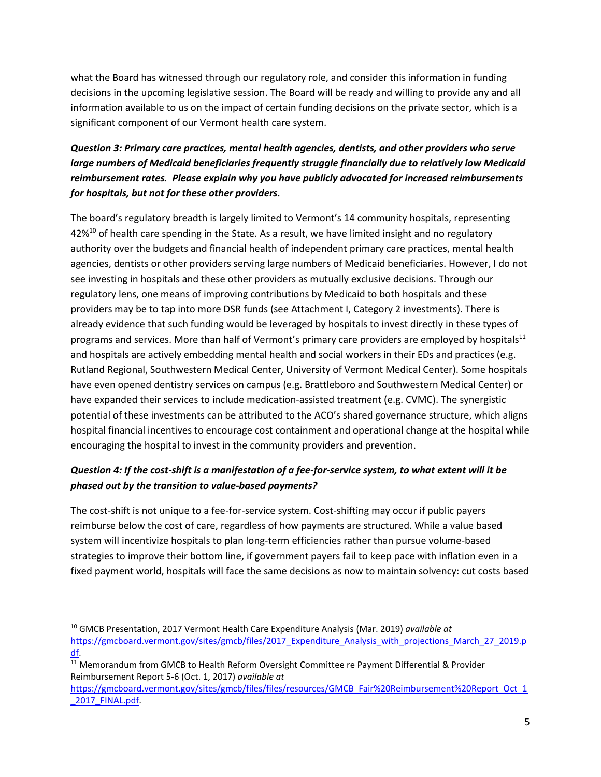what the Board has witnessed through our regulatory role, and consider this information in funding decisions in the upcoming legislative session. The Board will be ready and willing to provide any and all information available to us on the impact of certain funding decisions on the private sector, which is a significant component of our Vermont health care system.

# *Question 3: Primary care practices, mental health agencies, dentists, and other providers who serve large numbers of Medicaid beneficiaries frequently struggle financially due to relatively low Medicaid reimbursement rates. Please explain why you have publicly advocated for increased reimbursements for hospitals, but not for these other providers.*

The board's regulatory breadth is largely limited to Vermont's 14 community hospitals, representing 42%<sup>10</sup> of health care spending in the State. As a result, we have limited insight and no regulatory authority over the budgets and financial health of independent primary care practices, mental health agencies, dentists or other providers serving large numbers of Medicaid beneficiaries. However, I do not see investing in hospitals and these other providers as mutually exclusive decisions. Through our regulatory lens, one means of improving contributions by Medicaid to both hospitals and these providers may be to tap into more DSR funds (see Attachment I, Category 2 investments). There is already evidence that such funding would be leveraged by hospitals to invest directly in these types of programs and services. More than half of Vermont's primary care providers are employed by hospitals<sup>11</sup> and hospitals are actively embedding mental health and social workers in their EDs and practices (e.g. Rutland Regional, Southwestern Medical Center, University of Vermont Medical Center). Some hospitals have even opened dentistry services on campus (e.g. Brattleboro and Southwestern Medical Center) or have expanded their services to include medication-assisted treatment (e.g. CVMC). The synergistic potential of these investments can be attributed to the ACO's shared governance structure, which aligns hospital financial incentives to encourage cost containment and operational change at the hospital while encouraging the hospital to invest in the community providers and prevention.

# *Question 4: If the cost-shift is a manifestation of a fee-for-service system, to what extent will it be phased out by the transition to value-based payments?*

The cost-shift is not unique to a fee-for-service system. Cost-shifting may occur if public payers reimburse below the cost of care, regardless of how payments are structured. While a value based system will incentivize hospitals to plan long-term efficiencies rather than pursue volume-based strategies to improve their bottom line, if government payers fail to keep pace with inflation even in a fixed payment world, hospitals will face the same decisions as now to maintain solvency: cut costs based

<sup>10</sup> GMCB Presentation, 2017 Vermont Health Care Expenditure Analysis (Mar. 2019) *available at*  [https://gmcboard.vermont.gov/sites/gmcb/files/2017\\_Expenditure\\_Analysis\\_with\\_projections\\_March\\_27\\_2019.p](https://gmcboard.vermont.gov/sites/gmcb/files/2017_Expenditure_Analysis_with_projections_March_27_2019.pdf) [df.](https://gmcboard.vermont.gov/sites/gmcb/files/2017_Expenditure_Analysis_with_projections_March_27_2019.pdf)

<sup>&</sup>lt;sup>11</sup> Memorandum from GMCB to Health Reform Oversight Committee re Payment Differential & Provider Reimbursement Report 5-6 (Oct. 1, 2017) *available at* 

[https://gmcboard.vermont.gov/sites/gmcb/files/files/resources/GMCB\\_Fair%20Reimbursement%20Report\\_Oct\\_1](https://gmcboard.vermont.gov/sites/gmcb/files/files/resources/GMCB_Fair%20Reimbursement%20Report_Oct_1_2017_FINAL.pdf) 2017 FINAL.pdf.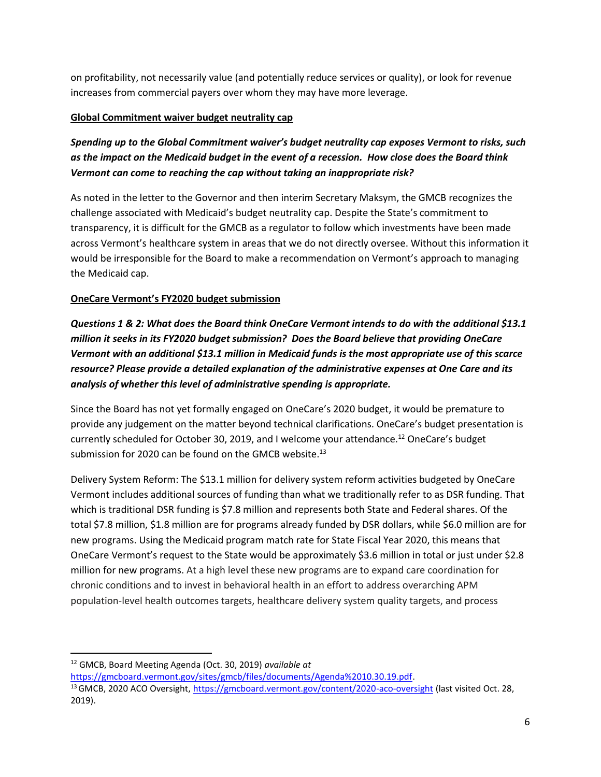on profitability, not necessarily value (and potentially reduce services or quality), or look for revenue increases from commercial payers over whom they may have more leverage.

### **Global Commitment waiver budget neutrality cap**

*Spending up to the Global Commitment waiver's budget neutrality cap exposes Vermont to risks, such as the impact on the Medicaid budget in the event of a recession. How close does the Board think Vermont can come to reaching the cap without taking an inappropriate risk?* 

As noted in the letter to the Governor and then interim Secretary Maksym, the GMCB recognizes the challenge associated with Medicaid's budget neutrality cap. Despite the State's commitment to transparency, it is difficult for the GMCB as a regulator to follow which investments have been made across Vermont's healthcare system in areas that we do not directly oversee. Without this information it would be irresponsible for the Board to make a recommendation on Vermont's approach to managing the Medicaid cap.

### **OneCare Vermont's FY2020 budget submission**

*Questions 1 & 2: What does the Board think OneCare Vermont intends to do with the additional \$13.1 million it seeks in its FY2020 budget submission? Does the Board believe that providing OneCare Vermont with an additional \$13.1 million in Medicaid funds is the most appropriate use of this scarce resource? Please provide a detailed explanation of the administrative expenses at One Care and its analysis of whether this level of administrative spending is appropriate.* 

Since the Board has not yet formally engaged on OneCare's 2020 budget, it would be premature to provide any judgement on the matter beyond technical clarifications. OneCare's budget presentation is currently scheduled for October 30, 2019, and I welcome your attendance.<sup>12</sup> OneCare's budget submission for 2020 can be found on the GMCB website.<sup>13</sup>

Delivery System Reform: The \$13.1 million for delivery system reform activities budgeted by OneCare Vermont includes additional sources of funding than what we traditionally refer to as DSR funding. That which is traditional DSR funding is \$7.8 million and represents both State and Federal shares. Of the total \$7.8 million, \$1.8 million are for programs already funded by DSR dollars, while \$6.0 million are for new programs. Using the Medicaid program match rate for State Fiscal Year 2020, this means that OneCare Vermont's request to the State would be approximately \$3.6 million in total or just under \$2.8 million for new programs. At a high level these new programs are to expand care coordination for chronic conditions and to invest in behavioral health in an effort to address overarching APM population-level health outcomes targets, healthcare delivery system quality targets, and process

<sup>12</sup> GMCB, Board Meeting Agenda (Oct. 30, 2019) *available at* 

[https://gmcboard.vermont.gov/sites/gmcb/files/documents/Agenda%2010.30.19.pdf.](https://gmcboard.vermont.gov/sites/gmcb/files/documents/Agenda%2010.30.19.pdf)

<sup>&</sup>lt;sup>13</sup> GMCB, 2020 ACO Oversight, <https://gmcboard.vermont.gov/content/2020-aco-oversight> (last visited Oct. 28, 2019).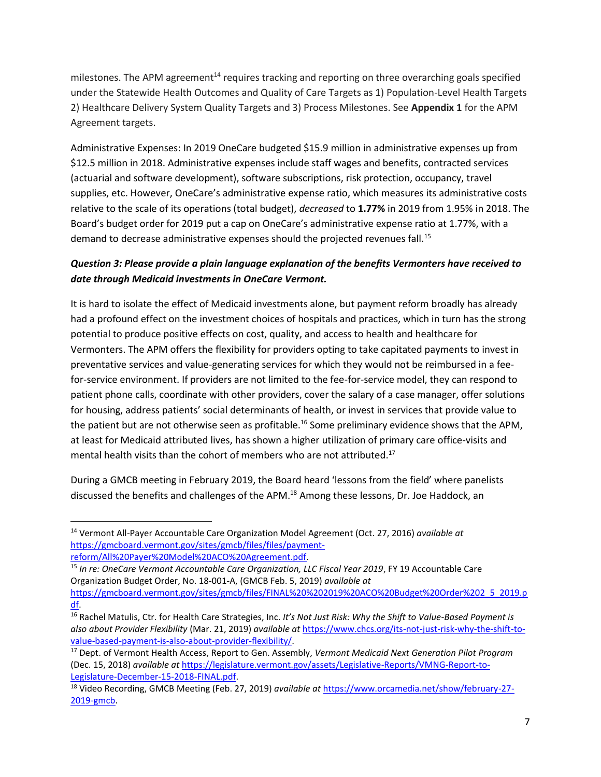milestones. The APM agreement<sup>14</sup> requires tracking and reporting on three overarching goals specified under the Statewide Health Outcomes and Quality of Care Targets as 1) Population-Level Health Targets 2) Healthcare Delivery System Quality Targets and 3) Process Milestones. See **Appendix 1** for the APM Agreement targets.

Administrative Expenses: In 2019 OneCare budgeted \$15.9 million in administrative expenses up from \$12.5 million in 2018. Administrative expenses include staff wages and benefits, contracted services (actuarial and software development), software subscriptions, risk protection, occupancy, travel supplies, etc. However, OneCare's administrative expense ratio, which measures its administrative costs relative to the scale of its operations (total budget), *decreased* to **1.77%** in 2019 from 1.95% in 2018. The Board's budget order for 2019 put a cap on OneCare's administrative expense ratio at 1.77%, with a demand to decrease administrative expenses should the projected revenues fall.<sup>15</sup>

## *Question 3: Please provide a plain language explanation of the benefits Vermonters have received to date through Medicaid investments in OneCare Vermont.*

It is hard to isolate the effect of Medicaid investments alone, but payment reform broadly has already had a profound effect on the investment choices of hospitals and practices, which in turn has the strong potential to produce positive effects on cost, quality, and access to health and healthcare for Vermonters. The APM offers the flexibility for providers opting to take capitated payments to invest in preventative services and value-generating services for which they would not be reimbursed in a feefor-service environment. If providers are not limited to the fee-for-service model, they can respond to patient phone calls, coordinate with other providers, cover the salary of a case manager, offer solutions for housing, address patients' social determinants of health, or invest in services that provide value to the patient but are not otherwise seen as profitable.<sup>16</sup> Some preliminary evidence shows that the APM, at least for Medicaid attributed lives, has shown a higher utilization of primary care office-visits and mental health visits than the cohort of members who are not attributed.<sup>17</sup>

During a GMCB meeting in February 2019, the Board heard 'lessons from the field' where panelists discussed the benefits and challenges of the APM.<sup>18</sup> Among these lessons, Dr. Joe Haddock, an

<sup>14</sup> Vermont All-Payer Accountable Care Organization Model Agreement (Oct. 27, 2016) *available at*  [https://gmcboard.vermont.gov/sites/gmcb/files/files/payment](https://gmcboard.vermont.gov/sites/gmcb/files/files/payment-reform/All%20Payer%20Model%20ACO%20Agreement.pdf)[reform/All%20Payer%20Model%20ACO%20Agreement.pdf.](https://gmcboard.vermont.gov/sites/gmcb/files/files/payment-reform/All%20Payer%20Model%20ACO%20Agreement.pdf)

<sup>15</sup> *In re: OneCare Vermont Accountable Care Organization, LLC Fiscal Year 2019*, FY 19 Accountable Care Organization Budget Order, No. 18-001-A, (GMCB Feb. 5, 2019) *available at* [https://gmcboard.vermont.gov/sites/gmcb/files/FINAL%20%202019%20ACO%20Budget%20Order%202\\_5\\_2019.p](https://gmcboard.vermont.gov/sites/gmcb/files/FINAL%20%202019%20ACO%20Budget%20Order%202_5_2019.pdf) [df.](https://gmcboard.vermont.gov/sites/gmcb/files/FINAL%20%202019%20ACO%20Budget%20Order%202_5_2019.pdf) 

<sup>16</sup> Rachel Matulis, Ctr. for Health Care Strategies, Inc. *It's Not Just Risk: Why the Shift to Value-Based Payment is also about Provider Flexibility* (Mar. 21, 2019) *available at* [https://www.chcs.org/its-not-just-risk-why-the-shift-to](https://www.chcs.org/its-not-just-risk-why-the-shift-to-value-based-payment-is-also-about-provider-flexibility/)[value-based-payment-is-also-about-provider-flexibility/.](https://www.chcs.org/its-not-just-risk-why-the-shift-to-value-based-payment-is-also-about-provider-flexibility/) 

<sup>17</sup> Dept. of Vermont Health Access, Report to Gen. Assembly, *Vermont Medicaid Next Generation Pilot Program* (Dec. 15, 2018) *available at* [https://legislature.vermont.gov/assets/Legislative-Reports/VMNG-Report-to-](https://legislature.vermont.gov/assets/Legislative-Reports/VMNG-Report-to-Legislature-December-15-2018-FINAL.pdf)[Legislature-December-15-2018-FINAL.pdf.](https://legislature.vermont.gov/assets/Legislative-Reports/VMNG-Report-to-Legislature-December-15-2018-FINAL.pdf)

<sup>18</sup> Video Recording, GMCB Meeting (Feb. 27, 2019) *available at* [https://www.orcamedia.net/show/february-27-](https://www.orcamedia.net/show/february-27-2019-gmcb) [2019-gmcb.](https://www.orcamedia.net/show/february-27-2019-gmcb)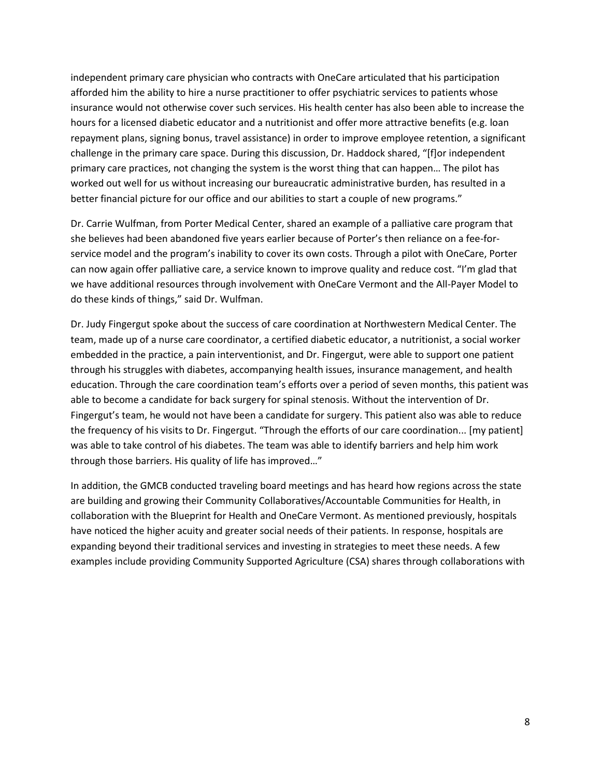independent primary care physician who contracts with OneCare articulated that his participation afforded him the ability to hire a nurse practitioner to offer psychiatric services to patients whose insurance would not otherwise cover such services. His health center has also been able to increase the hours for a licensed diabetic educator and a nutritionist and offer more attractive benefits (e.g. loan repayment plans, signing bonus, travel assistance) in order to improve employee retention, a significant challenge in the primary care space. During this discussion, Dr. Haddock shared, "[f]or independent primary care practices, not changing the system is the worst thing that can happen… The pilot has worked out well for us without increasing our bureaucratic administrative burden, has resulted in a better financial picture for our office and our abilities to start a couple of new programs."

Dr. Carrie Wulfman, from Porter Medical Center, shared an example of a palliative care program that she believes had been abandoned five years earlier because of Porter's then reliance on a fee-forservice model and the program's inability to cover its own costs. Through a pilot with OneCare, Porter can now again offer palliative care, a service known to improve quality and reduce cost. "I'm glad that we have additional resources through involvement with OneCare Vermont and the All-Payer Model to do these kinds of things," said Dr. Wulfman.

Dr. Judy Fingergut spoke about the success of care coordination at Northwestern Medical Center. The team, made up of a nurse care coordinator, a certified diabetic educator, a nutritionist, a social worker embedded in the practice, a pain interventionist, and Dr. Fingergut, were able to support one patient through his struggles with diabetes, accompanying health issues, insurance management, and health education. Through the care coordination team's efforts over a period of seven months, this patient was able to become a candidate for back surgery for spinal stenosis. Without the intervention of Dr. Fingergut's team, he would not have been a candidate for surgery. This patient also was able to reduce the frequency of his visits to Dr. Fingergut. "Through the efforts of our care coordination... [my patient] was able to take control of his diabetes. The team was able to identify barriers and help him work through those barriers. His quality of life has improved…"

In addition, the GMCB conducted traveling board meetings and has heard how regions across the state are building and growing their Community Collaboratives/Accountable Communities for Health, in collaboration with the Blueprint for Health and OneCare Vermont. As mentioned previously, hospitals have noticed the higher acuity and greater social needs of their patients. In response, hospitals are expanding beyond their traditional services and investing in strategies to meet these needs. A few examples include providing Community Supported Agriculture (CSA) shares through collaborations with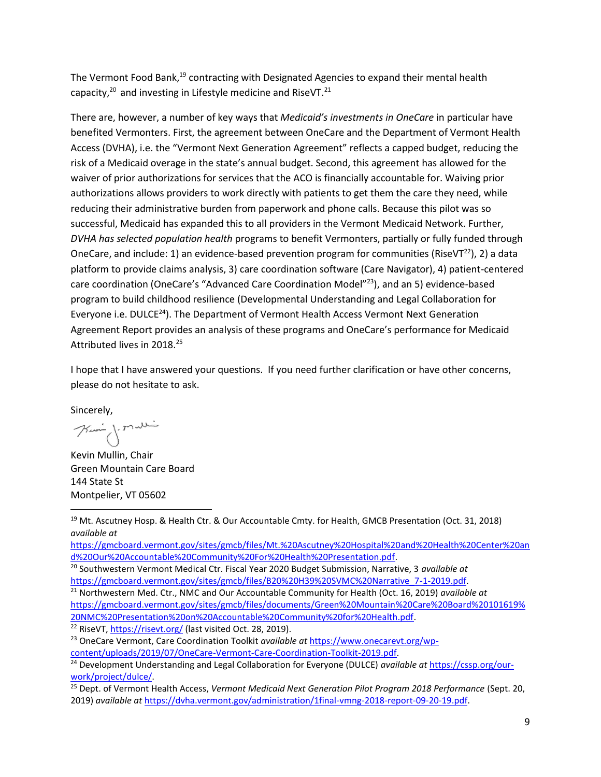The Vermont Food Bank,<sup>19</sup> contracting with Designated Agencies to expand their mental health capacity, $20$  and investing in Lifestyle medicine and RiseVT. $21$ 

There are, however, a number of key ways that *Medicaid's investments in OneCare* in particular have benefited Vermonters. First, the agreement between OneCare and the Department of Vermont Health Access (DVHA), i.e. the "Vermont Next Generation Agreement" reflects a capped budget, reducing the risk of a Medicaid overage in the state's annual budget. Second, this agreement has allowed for the waiver of prior authorizations for services that the ACO is financially accountable for. Waiving prior authorizations allows providers to work directly with patients to get them the care they need, while reducing their administrative burden from paperwork and phone calls. Because this pilot was so successful, Medicaid has expanded this to all providers in the Vermont Medicaid Network. Further, *DVHA has selected population health* programs to benefit Vermonters, partially or fully funded through OneCare, and include: 1) an evidence-based prevention program for communities (RiseVT<sup>22</sup>), 2) a data platform to provide claims analysis, 3) care coordination software (Care Navigator), 4) patient-centered care coordination (OneCare's "Advanced Care Coordination Model"<sup>23</sup>), and an 5) evidence-based program to build childhood resilience (Developmental Understanding and Legal Collaboration for Everyone i.e. DULCE<sup>24</sup>). The Department of Vermont Health Access Vermont Next Generation Agreement Report provides an analysis of these programs and OneCare's performance for Medicaid Attributed lives in 2018.<sup>25</sup>

I hope that I have answered your questions. If you need further clarification or have other concerns, please do not hesitate to ask.

Sincerely,

Kui j. malli

Kevin Mullin, Chair Green Mountain Care Board 144 State St Montpelier, VT 05602

[https://gmcboard.vermont.gov/sites/gmcb/files/Mt.%20Ascutney%20Hospital%20and%20Health%20Center%20an](https://gmcboard.vermont.gov/sites/gmcb/files/Mt.%20Ascutney%20Hospital%20and%20Health%20Center%20and%20Our%20Accountable%20Community%20For%20Health%20Presentation.pdf) [d%20Our%20Accountable%20Community%20For%20Health%20Presentation.pdf.](https://gmcboard.vermont.gov/sites/gmcb/files/Mt.%20Ascutney%20Hospital%20and%20Health%20Center%20and%20Our%20Accountable%20Community%20For%20Health%20Presentation.pdf)

<sup>21</sup> Northwestern Med. Ctr., NMC and Our Accountable Community for Health (Oct. 16, 2019) *available at* [https://gmcboard.vermont.gov/sites/gmcb/files/documents/Green%20Mountain%20Care%20Board%20101619%](https://gmcboard.vermont.gov/sites/gmcb/files/documents/Green%20Mountain%20Care%20Board%20101619%20NMC%20Presentation%20on%20Accountable%20Community%20for%20Health.pdf) [20NMC%20Presentation%20on%20Accountable%20Community%20for%20Health.pdf.](https://gmcboard.vermont.gov/sites/gmcb/files/documents/Green%20Mountain%20Care%20Board%20101619%20NMC%20Presentation%20on%20Accountable%20Community%20for%20Health.pdf)

<sup>22</sup> RiseVT,<https://risevt.org/> (last visited Oct. 28, 2019).

<sup>25</sup> Dept. of Vermont Health Access, *Vermont Medicaid Next Generation Pilot Program 2018 Performance* (Sept. 20, 2019) *available at* [https://dvha.vermont.gov/administration/1final-vmng-2018-report-09-20-19.pdf.](https://dvha.vermont.gov/administration/1final-vmng-2018-report-09-20-19.pdf)

<sup>&</sup>lt;sup>19</sup> Mt. Ascutney Hosp. & Health Ctr. & Our Accountable Cmty. for Health, GMCB Presentation (Oct. 31, 2018) *available at*

<sup>20</sup> Southwestern Vermont Medical Ctr. Fiscal Year 2020 Budget Submission, Narrative, 3 *available at*  [https://gmcboard.vermont.gov/sites/gmcb/files/B20%20H39%20SVMC%20Narrative\\_7-1-2019.pdf.](https://gmcboard.vermont.gov/sites/gmcb/files/B20%20H39%20SVMC%20Narrative_7-1-2019.pdfHYPERLINK)

<sup>23</sup> OneCare Vermont, Care Coordination Toolkit *available at* [https://www.onecarevt.org/wp](https://www.onecarevt.org/wp-content/uploads/2019/07/OneCare-Vermont-Care-Coordination-Toolkit-2019.pdf)[content/uploads/2019/07/OneCare-Vermont-Care-Coordination-Toolkit-2019.pdf.](https://www.onecarevt.org/wp-content/uploads/2019/07/OneCare-Vermont-Care-Coordination-Toolkit-2019.pdf)

<sup>24</sup> Development Understanding and Legal Collaboration for Everyone (DULCE) *available at* [https://cssp.org/our](https://cssp.org/our-work/project/dulce/)[work/project/dulce/.](https://cssp.org/our-work/project/dulce/)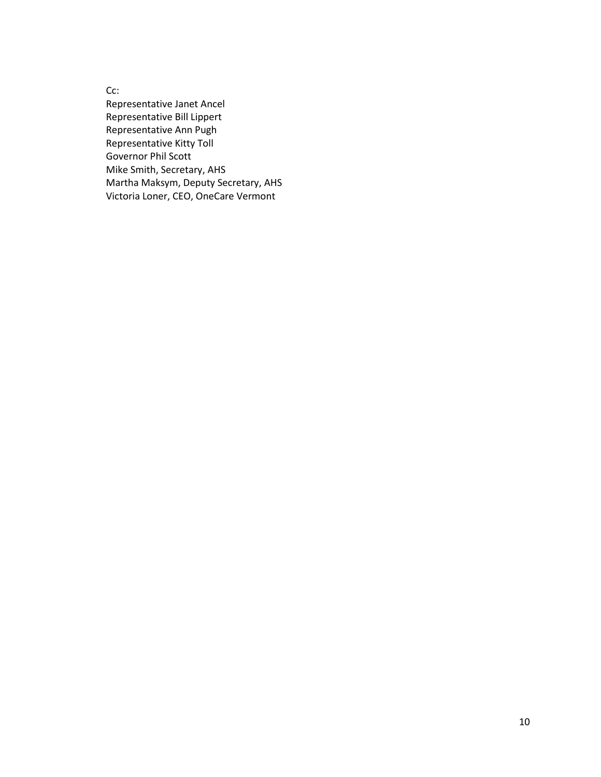Cc:

Representative Janet Ancel Representative Bill Lippert Representative Ann Pugh Representative Kitty Toll Governor Phil Scott Mike Smith, Secretary, AHS Martha Maksym, Deputy Secretary, AHS Victoria Loner, CEO, OneCare Vermont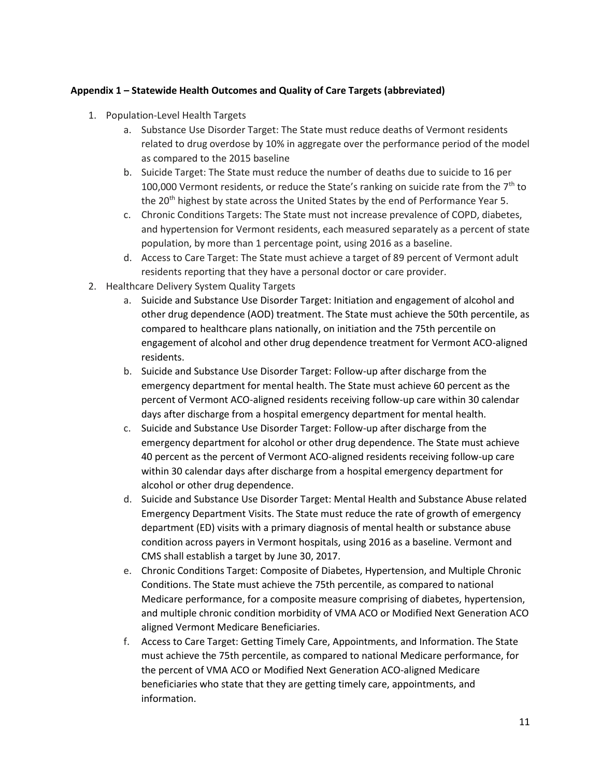#### **Appendix 1 – Statewide Health Outcomes and Quality of Care Targets (abbreviated)**

- 1. Population-Level Health Targets
	- a. Substance Use Disorder Target: The State must reduce deaths of Vermont residents related to drug overdose by 10% in aggregate over the performance period of the model as compared to the 2015 baseline
	- b. Suicide Target: The State must reduce the number of deaths due to suicide to 16 per 100,000 Vermont residents, or reduce the State's ranking on suicide rate from the  $7<sup>th</sup>$  to the 20<sup>th</sup> highest by state across the United States by the end of Performance Year 5.
	- c. Chronic Conditions Targets: The State must not increase prevalence of COPD, diabetes, and hypertension for Vermont residents, each measured separately as a percent of state population, by more than 1 percentage point, using 2016 as a baseline.
	- d. Access to Care Target: The State must achieve a target of 89 percent of Vermont adult residents reporting that they have a personal doctor or care provider.
- 2. Healthcare Delivery System Quality Targets
	- a. Suicide and Substance Use Disorder Target: Initiation and engagement of alcohol and other drug dependence (AOD) treatment. The State must achieve the 50th percentile, as compared to healthcare plans nationally, on initiation and the 75th percentile on engagement of alcohol and other drug dependence treatment for Vermont ACO-aligned residents.
	- b. Suicide and Substance Use Disorder Target: Follow-up after discharge from the emergency department for mental health. The State must achieve 60 percent as the percent of Vermont ACO-aligned residents receiving follow-up care within 30 calendar days after discharge from a hospital emergency department for mental health.
	- c. Suicide and Substance Use Disorder Target: Follow-up after discharge from the emergency department for alcohol or other drug dependence. The State must achieve 40 percent as the percent of Vermont ACO-aligned residents receiving follow-up care within 30 calendar days after discharge from a hospital emergency department for alcohol or other drug dependence.
	- d. Suicide and Substance Use Disorder Target: Mental Health and Substance Abuse related Emergency Department Visits. The State must reduce the rate of growth of emergency department (ED) visits with a primary diagnosis of mental health or substance abuse condition across payers in Vermont hospitals, using 2016 as a baseline. Vermont and CMS shall establish a target by June 30, 2017.
	- e. Chronic Conditions Target: Composite of Diabetes, Hypertension, and Multiple Chronic Conditions. The State must achieve the 75th percentile, as compared to national Medicare performance, for a composite measure comprising of diabetes, hypertension, and multiple chronic condition morbidity of VMA ACO or Modified Next Generation ACO aligned Vermont Medicare Beneficiaries.
	- f. Access to Care Target: Getting Timely Care, Appointments, and Information. The State must achieve the 75th percentile, as compared to national Medicare performance, for the percent of VMA ACO or Modified Next Generation ACO-aligned Medicare beneficiaries who state that they are getting timely care, appointments, and information.